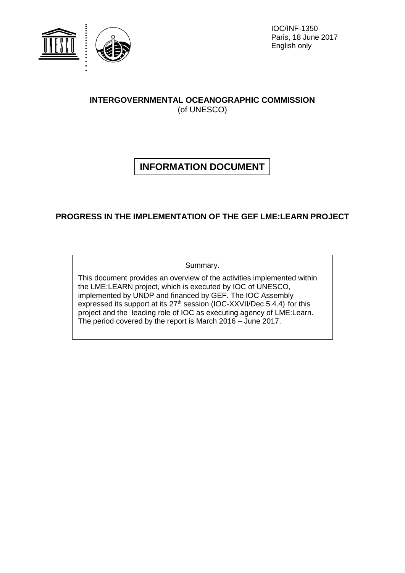

IOC/INF-1350 Paris, 18 June 2017 English only

## **INTERGOVERNMENTAL OCEANOGRAPHIC COMMISSION** (of UNESCO)

# **INFORMATION DOCUMENT**

## **PROGRESS IN THE IMPLEMENTATION OF THE GEF LME:LEARN PROJECT**

Summary.

This document provides an overview of the activities implemented within the LME:LEARN project, which is executed by IOC of UNESCO, implemented by UNDP and financed by GEF. The IOC Assembly expressed its support at its 27<sup>th</sup> session (IOC-XXVII/Dec.5.4.4) for this project and the leading role of IOC as executing agency of LME:Learn. The period covered by the report is March 2016 – June 2017.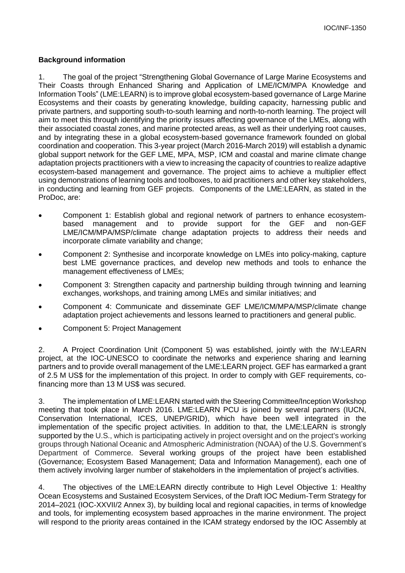#### **Background information**

1. The goal of the project "Strengthening Global Governance of Large Marine Ecosystems and Their Coasts through Enhanced Sharing and Application of LME/ICM/MPA Knowledge and Information Tools" (LME:LEARN) is to improve global ecosystem-based governance of Large Marine Ecosystems and their coasts by generating knowledge, building capacity, harnessing public and private partners, and supporting south-to-south learning and north-to-north learning. The project will aim to meet this through identifying the priority issues affecting governance of the LMEs, along with their associated coastal zones, and marine protected areas, as well as their underlying root causes, and by integrating these in a global ecosystem-based governance framework founded on global coordination and cooperation. This 3-year project (March 2016-March 2019) will establish a dynamic global support network for the GEF LME, MPA, MSP, ICM and coastal and marine climate change adaptation projects practitioners with a view to increasing the capacity of countries to realize adaptive ecosystem-based management and governance. The project aims to achieve a multiplier effect using demonstrations of learning tools and toolboxes, to aid practitioners and other key stakeholders, in conducting and learning from GEF projects. Components of the LME:LEARN, as stated in the ProDoc, are:

- Component 1: Establish global and regional network of partners to enhance ecosystembased management and to provide support for the GEF and non-GEF LME/ICM/MPA/MSP/climate change adaptation projects to address their needs and incorporate climate variability and change;
- Component 2: Synthesise and incorporate knowledge on LMEs into policy-making, capture best LME governance practices, and develop new methods and tools to enhance the management effectiveness of LMEs;
- Component 3: Strengthen capacity and partnership building through twinning and learning exchanges, workshops, and training among LMEs and similar initiatives; and
- Component 4: Communicate and disseminate GEF LME/ICM/MPA/MSP/climate change adaptation project achievements and lessons learned to practitioners and general public.
- Component 5: Project Management

2. A Project Coordination Unit (Component 5) was established, jointly with the IW:LEARN project, at the IOC-UNESCO to coordinate the networks and experience sharing and learning partners and to provide overall management of the LME:LEARN project. GEF has earmarked a grant of 2.5 M US\$ for the implementation of this project. In order to comply with GEF requirements, cofinancing more than 13 M US\$ was secured.

3. The implementation of LME:LEARN started with the Steering Committee/Inception Workshop meeting that took place in March 2016. LME:LEARN PCU is joined by several partners (IUCN, Conservation International, ICES, UNEP/GRID), which have been well integrated in the implementation of the specific project activities. In addition to that, the LME:LEARN is strongly supported by the U.S., which is participating actively in project oversight and on the project's working groups through National Oceanic and Atmospheric Administration (NOAA) of the U.S. Government's Department of Commerce. Several working groups of the project have been established (Governance; Ecosystem Based Management; Data and Information Management), each one of them actively involving larger number of stakeholders in the implementation of project's activities.

4. The objectives of the LME:LEARN directly contribute to High Level Objective 1: Healthy Ocean Ecosystems and Sustained Ecosystem Services, of the Draft IOC Medium-Term Strategy for 2014–2021 (IOC-XXVII/2 Annex 3), by building local and regional capacities, in terms of knowledge and tools, for implementing ecosystem based approaches in the marine environment. The project will respond to the priority areas contained in the ICAM strategy endorsed by the IOC Assembly at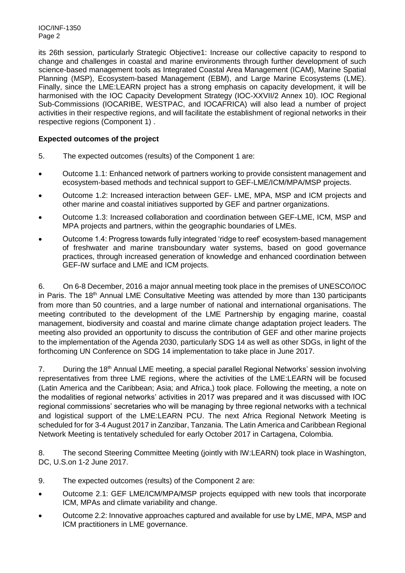IOC/INF-1350 Page 2

its 26th session, particularly Strategic Objective1: Increase our collective capacity to respond to change and challenges in coastal and marine environments through further development of such science-based management tools as Integrated Coastal Area Management (ICAM), Marine Spatial Planning (MSP), Ecosystem-based Management (EBM), and Large Marine Ecosystems (LME). Finally, since the LME:LEARN project has a strong emphasis on capacity development, it will be harmonised with the IOC Capacity Development Strategy (IOC-XXVII/2 Annex 10). IOC Regional Sub-Commissions (IOCARIBE, WESTPAC, and IOCAFRICA) will also lead a number of project activities in their respective regions, and will facilitate the establishment of regional networks in their respective regions (Component 1) .

#### **Expected outcomes of the project**

- 5. The expected outcomes (results) of the Component 1 are:
- Outcome 1.1: Enhanced network of partners working to provide consistent management and ecosystem-based methods and technical support to GEF-LME/ICM/MPA/MSP projects.
- Outcome 1.2: Increased interaction between GEF- LME, MPA, MSP and ICM projects and other marine and coastal initiatives supported by GEF and partner organizations.
- Outcome 1.3: Increased collaboration and coordination between GEF-LME, ICM, MSP and MPA projects and partners, within the geographic boundaries of LMEs.
- Outcome 1.4: Progress towards fully integrated 'ridge to reef' ecosystem-based management of freshwater and marine transboundary water systems, based on good governance practices, through increased generation of knowledge and enhanced coordination between GEF-IW surface and LME and ICM projects.

6. On 6-8 December, 2016 a major annual meeting took place in the premises of UNESCO/IOC in Paris. The 18<sup>th</sup> Annual LME Consultative Meeting was attended by more than 130 participants from more than 50 countries, and a large number of national and international organisations. The meeting contributed to the development of the LME Partnership by engaging marine, coastal management, biodiversity and coastal and marine climate change adaptation project leaders. The meeting also provided an opportunity to discuss the contribution of GEF and other marine projects to the implementation of the Agenda 2030, particularly SDG 14 as well as other SDGs, in light of the forthcoming UN Conference on SDG 14 implementation to take place in June 2017.

7. During the 18<sup>th</sup> Annual LME meeting, a special parallel Regional Networks' session involving representatives from three LME regions, where the activities of the LME:LEARN will be focused (Latin America and the Caribbean; Asia; and Africa,) took place. Following the meeting, a note on the modalities of regional networks' activities in 2017 was prepared and it was discussed with IOC regional commissions' secretaries who will be managing by three regional networks with a technical and logistical support of the LME:LEARN PCU. The next Africa Regional Network Meeting is scheduled for for 3-4 August 2017 in Zanzibar, Tanzania. The Latin America and Caribbean Regional Network Meeting is tentatively scheduled for early October 2017 in Cartagena, Colombia.

8. The second Steering Committee Meeting (jointly with IW:LEARN) took place in Washington, DC, U.S.on 1-2 June 2017.

- 9. The expected outcomes (results) of the Component 2 are:
- Outcome 2.1: GEF LME/ICM/MPA/MSP projects equipped with new tools that incorporate ICM, MPAs and climate variability and change.
- Outcome 2.2: Innovative approaches captured and available for use by LME, MPA, MSP and ICM practitioners in LME governance.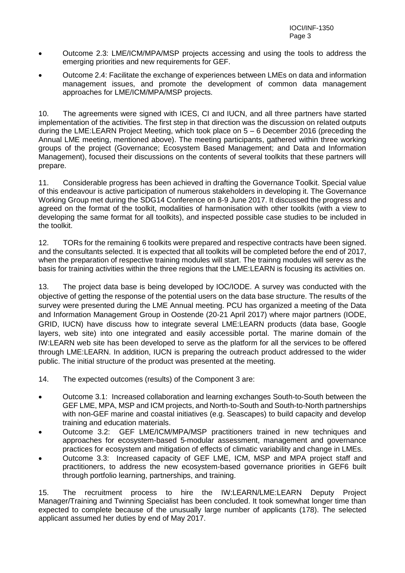- Outcome 2.3: LME/ICM/MPA/MSP projects accessing and using the tools to address the emerging priorities and new requirements for GEF.
- Outcome 2.4: Facilitate the exchange of experiences between LMEs on data and information management issues, and promote the development of common data management approaches for LME/ICM/MPA/MSP projects.

10. The agreements were signed with ICES, CI and IUCN, and all three partners have started implementation of the activities. The first step in that direction was the discussion on related outputs during the LME:LEARN Project Meeting, which took place on 5 – 6 December 2016 (preceding the Annual LME meeting, mentioned above). The meeting participants, gathered within three working groups of the project (Governance; Ecosystem Based Management; and Data and Information Management), focused their discussions on the contents of several toolkits that these partners will prepare.

11. Considerable progress has been achieved in drafting the Governance Toolkit. Special value of this endeavour is active participation of numerous stakeholders in developing it. The Governance Working Group met during the SDG14 Conference on 8-9 June 2017. It discussed the progress and agreed on the format of the toolkit, modalities of harmonisation with other toolkits (with a view to developing the same format for all toolkits), and inspected possible case studies to be included in the toolkit.

12. TORs for the remaining 6 toolkits were prepared and respective contracts have been signed. and the consultants selected. It is expected that all toolkits will be completed before the end of 2017, when the preparation of respective training modules will start. The trainng modules will serev as the basis for training activities within the three regions that the LME:LEARN is focusing its activities on.

13. The project data base is being developed by IOC/IODE. A survey was conducted with the objective of getting the response of the potential users on the data base structure. The results of the survey were presented during the LME Annual meeting. PCU has organized a meeting of the Data and Information Management Group in Oostende (20-21 April 2017) where major partners (IODE, GRID, IUCN) have discuss how to integrate several LME:LEARN products (data base, Google layers, web site) into one integrated and easily accessible portal. The marine domain of the IW:LEARN web site has been developed to serve as the platform for all the services to be offered through LME:LEARN. In addition, IUCN is preparing the outreach product addressed to the wider public. The initial structure of the product was presented at the meeting.

- 14. The expected outcomes (results) of the Component 3 are:
- Outcome 3.1: Increased collaboration and learning exchanges South-to-South between the GEF LME, MPA, MSP and ICM projects, and North-to-South and South-to-North partnerships with non-GEF marine and coastal initiatives (e.g. Seascapes) to build capacity and develop training and education materials.
- Outcome 3.2: GEF LME/ICM/MPA/MSP practitioners trained in new techniques and approaches for ecosystem-based 5-modular assessment, management and governance practices for ecosystem and mitigation of effects of climatic variability and change in LMEs.
- Outcome 3.3: Increased capacity of GEF LME, ICM, MSP and MPA project staff and practitioners, to address the new ecosystem-based governance priorities in GEF6 built through portfolio learning, partnerships, and training.

15. The recruitment process to hire the IW:LEARN/LME:LEARN Deputy Project Manager/Training and Twinning Specialist has been concluded. It took somewhat longer time than expected to complete because of the unusually large number of applicants (178). The selected applicant assumed her duties by end of May 2017.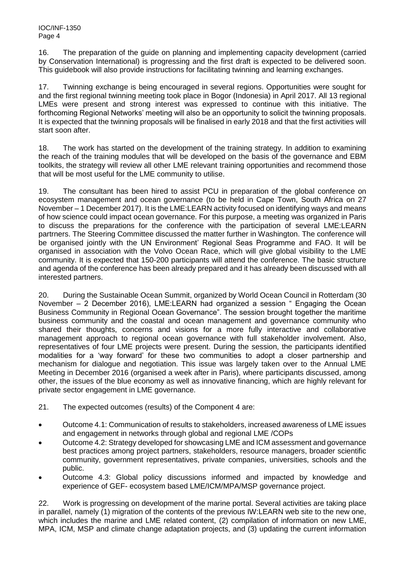16. The preparation of the guide on planning and implementing capacity development (carried by Conservation International) is progressing and the first draft is expected to be delivered soon. This guidebook will also provide instructions for facilitating twinning and learning exchanges.

17. Twinning exchange is being encouraged in several regions. Opportunities were sought for and the first regional twinning meeting took place in Bogor (Indonesia) in April 2017. All 13 regional LMEs were present and strong interest was expressed to continue with this initiative. The forthcoming Regional Networks' meeting will also be an opportunity to solicit the twinning proposals. It is expected that the twinning proposals will be finalised in early 2018 and that the first activities will start soon after.

18. The work has started on the development of the training strategy. In addition to examining the reach of the training modules that will be developed on the basis of the governance and EBM toolkits, the strategy will review all other LME relevant training opportunities and recommend those that will be most useful for the LME community to utilise.

19. The consultant has been hired to assist PCU in preparation of the global conference on ecosystem management and ocean governance (to be held in Cape Town, South Africa on 27 November – 1 December 2017). It is the LME:LEARN activity focused on identifying ways and means of how science could impact ocean governance. For this purpose, a meeting was organized in Paris to discuss the preparations for the conference with the participation of several LME:LEARN partrners. The Steering Committee discussed the matter further in Washington. The conference will be organised jointly with the UN Environment' Regional Seas Programme and FAO. It will be organised in association with the Volvo Ocean Race, which will give global visibility to the LME community. It is expected that 150-200 participants will attend the conference. The basic structure and agenda of the conference has been already prepared and it has already been discussed with all interested partners.

20. During the Sustainable Ocean Summit, organized by World Ocean Council in Rotterdam (30 November – 2 December 2016), LME:LEARN had organized a session " Engaging the Ocean Business Community in Regional Ocean Governance". The session brought together the maritime business community and the coastal and ocean management and governance community who shared their thoughts, concerns and visions for a more fully interactive and collaborative management approach to regional ocean governance with full stakeholder involvement. Also, representatives of four LME projects were present. During the session, the participants identified modalities for a 'way forward' for these two communities to adopt a closer partnership and mechanism for dialogue and negotiation. This issue was largely taken over to the Annual LME Meeting in December 2016 (organised a week after in Paris), where participants discussed, among other, the issues of the blue economy as well as innovative financing, which are highly relevant for private sector engagement in LME governance.

- 21. The expected outcomes (results) of the Component 4 are:
- Outcome 4.1: Communication of results to stakeholders, increased awareness of LME issues and engagement in networks through global and regional LME /COPs
- Outcome 4.2: Strategy developed for showcasing LME and ICM assessment and governance best practices among project partners, stakeholders, resource managers, broader scientific community, government representatives, private companies, universities, schools and the public.
- Outcome 4.3: Global policy discussions informed and impacted by knowledge and experience of GEF- ecosystem based LME/ICM/MPA/MSP governance project.

22. Work is progressing on development of the marine portal. Several activities are taking place in parallel, namely (1) migration of the contents of the previous IW:LEARN web site to the new one, which includes the marine and LME related content, (2) compilation of information on new LME, MPA, ICM, MSP and climate change adaptation projects, and (3) updating the current information